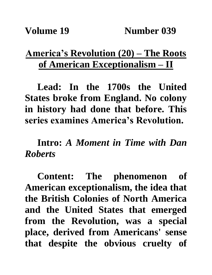## **America's Revolution (20) – The Roots of American Exceptionalism – II**

**Lead: In the 1700s the United States broke from England. No colony in history had done that before. This series examines America's Revolution.**

**Intro:** *A Moment in Time with Dan Roberts*

**Content: The phenomenon of American exceptionalism, the idea that the British Colonies of North America and the United States that emerged from the Revolution, was a special place, derived from Americans' sense that despite the obvious cruelty of**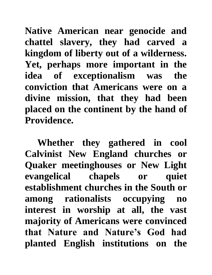**Native American near genocide and chattel slavery, they had carved a kingdom of liberty out of a wilderness. Yet, perhaps more important in the idea of exceptionalism was the conviction that Americans were on a divine mission, that they had been placed on the continent by the hand of Providence.** 

**Whether they gathered in cool Calvinist New England churches or Quaker meetinghouses or New Light evangelical chapels or quiet establishment churches in the South or among rationalists occupying no interest in worship at all, the vast majority of Americans were convinced that Nature and Nature's God had planted English institutions on the**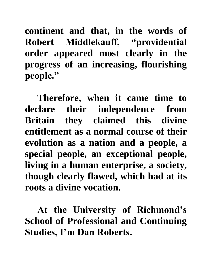**continent and that, in the words of Robert Middlekauff, "providential order appeared most clearly in the progress of an increasing, flourishing people."**

**Therefore, when it came time to declare their independence from Britain they claimed this divine entitlement as a normal course of their evolution as a nation and a people, a special people, an exceptional people, living in a human enterprise, a society, though clearly flawed, which had at its roots a divine vocation.**

**At the University of Richmond's School of Professional and Continuing Studies, I'm Dan Roberts.**